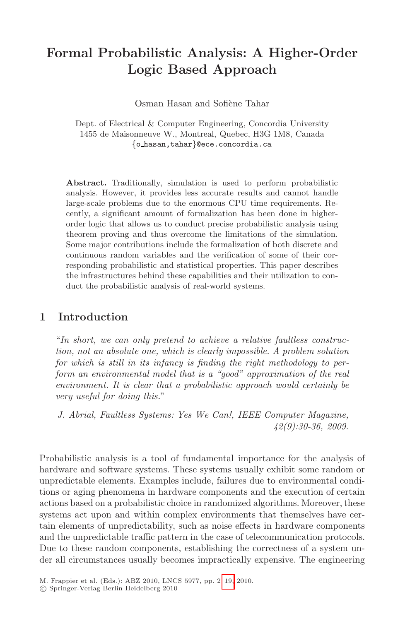# **Formal Probabilistic Analysis: A Higher-Order Logic Based Approach**

Osman Hasan and Sofiène Tahar

Dept. of Electrical & Computer Engineering, Concordia University 1455 de Maisonneuve W., Montreal, Quebec, H3G 1M8, Canada *{*<sup>o</sup> hasan,tahar*}*@ece.concordia.ca

**Abstract.** Traditionally, simulation is used to perform probabilistic analysis. However, it provides less accurate results and cannot handle large-scale problems due to the enormous CPU time requirements. Recently, a significant amount of formalization has been done in higherorder logic that allows us to conduct precise probabilistic analysis using theorem proving and thus overcome the limitations of the simulation. Some major contributions include the formalization of both discrete and continuous random variables and the verification of some of their corresponding probabilistic and statistical properties. This paper describes the infrastructures behind these capabilities and their utilization to conduct the probabilistic analysis of real-world systems.

## **1 Introduction**

"*In short, we can only pretend to achieve a relative faultless construction, not an absolute one, which is clearly impossible. A problem solution for which is still in its infancy is finding the right methodology to perform an environmental model that is a "good" approximation of the real environment. It is clear that a probabilistic approach would certainly be very useful for doing this.*"

*J. Abrial, Faultless Systems: Yes We Can!, IEEE Computer Magazine, 42(9):30-36, 2009.*

Probabilistic analysis is a tool of fundamental importance for the analysis of hardware and software systems. These systems usually exhibit some random or unpredictable elements. Examples include, failures due to environmental conditions or aging phenomen[a in](#page-17-0) hardware components and the execution of certain actions based on a probabilistic choice in randomized algorithms. Moreover, these systems act upon and within complex environments that themselves have certain elements of unpredictability, such as noise effects in hardware components and the unpredictable traffic pattern in the case of telecommunication protocols. Due to these random components, establishing the correctness of a system under all circumstances usually becomes impractically expensive. The engineering

M. Frappier et al. (Eds.): ABZ 2010, LNCS 5977, pp. 2–19, 2010.

<sup>-</sup>c Springer-Verlag Berlin Heidelberg 2010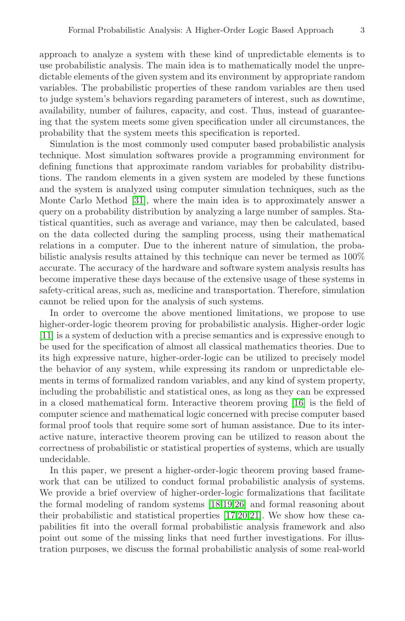approach to analyze a system with these kind of unpredictable elements is to use probabilistic analysis. The main idea is to mathematically model the unpredictable elements of the given system and its environment by appropriate random variables. The probabilistic properties of these random variables are then used to judge system's behaviors regarding parameters of interest, such as downtime, avai[lab](#page-17-1)ility, number of failures, capacity, and cost. Thus, instead of guaranteeing that the system meets some given specification under all circumstances, the probability that the system meets this specification is reported.

Simulation is the most commonly used computer based probabilistic analysis technique. Most simulation softwares provide a programming environment for defining functions that approximate random variables for probability distributions. The random elements in a given system are modeled by these functions and the system is analyzed using computer simulation techniques, such as the Monte Carlo Method [31], where the main idea is to approximately answer a query on a probability distribution by analyzing a large number of samples. Statistical quantities, such as average and variance, may then be calculated, based on the data collected during the sampling process, using their mathematical relations in a computer. Due to the inherent nature of simulation, the probabilistic analysis results attained by this technique can never be termed as 100% accurate. The accuracy of the hardware and software system analysis results has become imperative these days because of the extensive usage of these systems in safety-critical areas, such as, medicine and transportation. Therefore, simulation cannot be relied upon for the analysis of such systems.

In order to overcome the above menti[one](#page-16-0)d limitations, we propose to use higher-order-logic theorem proving for probabilistic analysis. Higher-order logic [11] is a system of deduction with a precise semantics and is expressive enough to be used for the specification of almost all classical mathematics theories. Due to its high expressive nature, higher-order-logic can be utilized to precisely model the behavior of any system, while expressing its random or unpredictable elements in terms of formalized random variables, and any kind of system property, including the probabilistic and statistical ones, as long as they can be expressed in a closed mathematical form. Interactive theorem proving [16] is the field of computer science and [mat](#page-16-1)[he](#page-16-2)[mat](#page-17-2)ical logic concerned with precise computer based formal proof tools that re[quir](#page-16-3)[e s](#page-16-4)[om](#page-17-3)e sort of human assistance. Due to its interactive nature, interactive theorem proving can be utilized to reason about the correctness of probabilistic or statistical properties of systems, which are usually undecidable.

In this paper, we present a higher-order-logic theorem proving based framework that can be utilized to conduct formal probabilistic analysis of systems. We provide a brief overview of higher-order-logic formalizations that facilitate the formal modeling of random systems [18,19,26] and formal reasoning about their probabilistic and statistical properties [17,20,21]. We show how these capabilities fit into the overall formal probabilistic analysis framework and also point out some of the missing links that need further investigations. For illustration purposes, we discuss the formal probabilistic analysis of some real-world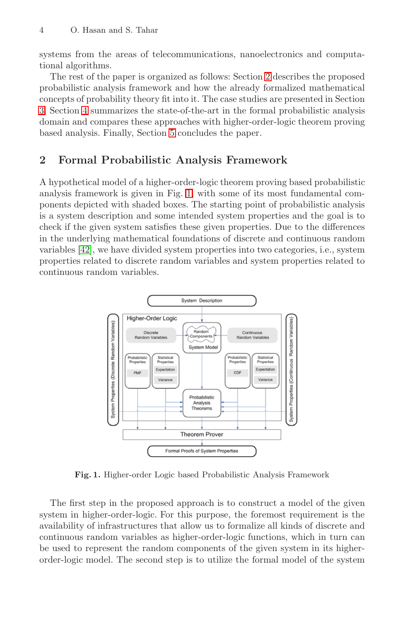<span id="page-2-1"></span>systems fro[m](#page-15-0) the areas of telecommunications, nanoelectronics and computational algorithms.

The rest of the paper is organized as follows: Section 2 describes the proposed probabilistic analysis framework and how the already formalized mathematical concepts of probability theory fit into it. The case studies are presented in Section 3. Section 4 sum[m](#page-2-0)arizes the state-of-the-art in the formal probabilistic analysis domain and compares these approaches with higher-order-logic theorem proving based analysis. Finally, Section 5 concludes the paper.

## **2 Formal Probabilistic Analysis Framework**

A hypothetical model of a higher-order-logic theorem proving based probabilistic analysis framework is given in Fig. 1, with some of its most fundamental components depicted with shaded boxes. The starting point of probabilistic analysis is a system description and some intended system properties and the goal is to check if the given system satisfies these given properties. Due to the differences in the underlying mathematical foundations of discrete and continuous random variables [42], we have divided system properties into two categories, i.e., system properties related to discrete random variables and system properties related to continuous random variables.



<span id="page-2-0"></span>**Fig. 1.** Higher-order Logic based Probabilistic Analysis Framework

The first step in the proposed approach is to construct a model of the given system in higher-order-logic. For this purpose, the foremost requirement is the availability of infrastructures that allow us to formalize all kinds of discrete and continuous random variables as higher-order-logic functions, which in turn can be used to represent the random components of the given system in its higherorder-logic model. The second step is to utilize the formal model of the system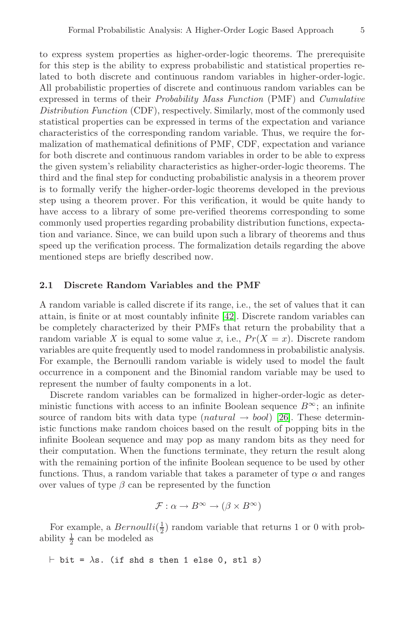to express system properties as higher-order-logic theorems. The prerequisite for this step is the ability to express probabilistic and statistical properties related to both discrete and continuous random variables in higher-order-logic. All probabilistic properties of discrete and continuous random variables can be expressed in terms of their *Probability Mass Function* (PMF) and *Cumulative Distribution Function* (CDF), respectively. Similarly, most of the commonly used statistical properties can be expressed in terms of the expectation and variance characteristics of the corresponding random variable. Thus, we require the formalization of mathematical definitions of PMF, CDF, expectation and variance for both discrete and continuous random variables in order to be able to express the given system's reliability characteristics as higher-order-logic theorems. The third and the final step for conducting probabilistic analysis in a theorem prover is to formally verify the higher-order-logic theorems developed in the previous step using a theorem prover. For this verification, it would be quite handy to have access to a library of some pre-verified theorems corresponding to some commonly used properties regarding probability distribution functions, expectation and variance. Since, [we](#page-17-4) [c](#page-17-4)an build upon such a library of theorems and thus speed up the verification process. The formalization details regarding the above mentioned steps are briefly described now.

#### **2.1 Discrete Random Variables and the PMF**

A random variable is called discrete if its range, i.e., the set of values that it can attain, is finite or at most countably infinite [42]. Discrete random variables can be completely characterized by their [PMF](#page-17-2)s that return the probability that a random variable X is equal to some value x, i.e.,  $Pr(X = x)$ . Discrete random variables are quite frequently used to model randomness in probabilistic analysis. For example, the Bernoulli random variable is widely used to model the fault occurrence in a component and the Binomial random variable may be used to represent the number of faulty components in a lot.

Discrete random variables can be formalized in higher-order-logic as deterministic functions with access to an infinite Boolean sequence  $B^{\infty}$ ; an infinite source of random bits with data type (natural  $\rightarrow$  bool) [26]. These deterministic functions make random choices based on the result of popping bits in the infinite Boolean sequence and may pop as many random bits as they need for their computation. When the functions terminate, they return the result along with the remaining portion of the infinite Boolean sequence to be used by other functions. Thus, a random variable that takes a parameter of type  $\alpha$  and ranges over values of type  $\beta$  can be represented by the function

$$
\mathcal{F}: \alpha \to B^{\infty} \to (\beta \times B^{\infty})
$$

For example, a  $Bernoulli(\frac{1}{2})$  random variable that returns 1 or 0 with probability  $\frac{1}{2}$  can be modeled as

 $\vdash$  bit =  $\lambda$ s. (if shd s then 1 else 0, stl s)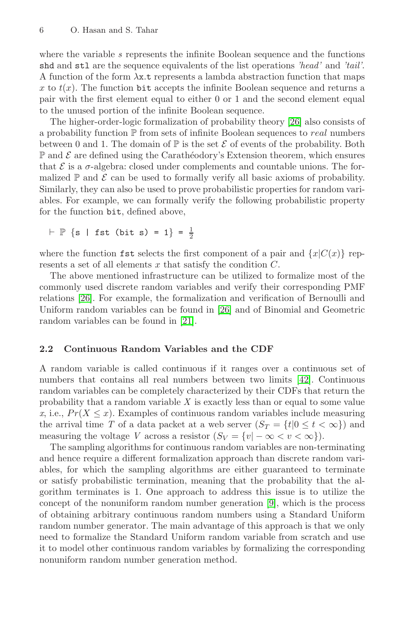where the variable *s* represents the infinite Boolean sequence and the functions shd and stl are the sequence equivalents of the list operations *'head'* and *'tail'*. A function of the form  $\lambda x$ .t represents a lambda abstraction function that maps x to  $t(x)$ . The function bit accepts the infinite Boolean sequence and returns a pair with the first element equal to either 0 or 1 and the second element equal to the unused portion of the infinite Boolean sequence.

The higher-order-logic formalization of probability theory [26] also consists of a probability function  $\mathbb P$  from sets of infinite Boolean sequences to real numbers between 0 and 1. The domain of  $\mathbb P$  is the set  $\mathcal E$  of events of the probability. Both  $\mathbb P$  and  $\mathcal E$  are defined using the Carathéodory's Extension theorem, which ensures that  $\mathcal E$  is a  $\sigma$ -algebra: closed under complements and countable unions. The formalized  $\mathbb P$  and  $\mathcal E$  can be used to formally verify all basic axioms of probability. Similarly, they can also be used to prove probabilistic properties for random variables. For example, we can formally verify the following probabilistic property for the function bit, defined above,

 $\vdash \mathbb{P} \{s \mid \text{fst (bit s)} = 1\} = \frac{1}{2}$  $\vdash \mathbb{P} \{s \mid \text{fst (bit s)} = 1\} = \frac{1}{2}$  $\vdash \mathbb{P} \{s \mid \text{fst (bit s)} = 1\} = \frac{1}{2}$ 

where the function fst selects the first component of a pair and  $\{x|C(x)\}\$  represents a set of all elements  $x$  that satisfy the condition  $C$ .

The above mentioned infrastructure can be utilized to formalize most of the commonly used discrete random variables a[nd](#page-17-4) verify their corresponding PMF relations [26]. For example, the formalization and verification of Bernoulli and Uniform random variables can be found in [26] and of Binomial and Geometric random variables can be found in [21].

#### **2.2 Continuous Random Variables and the CDF**

A random variable is called continuous if it ranges over a continuous set of numbers that contains all real numbers between two limits [42]. Continuous random variables can be completely characterized by their CDFs that return the probability that a random variable *X* is exactly less than or equal to some value *x*, i.e.,  $Pr(X \leq x)$ . Examples of cont[inu](#page-16-5)ous random variables include measuring the arrival time *T* of a data packet at a web server  $(S_T = \{t | 0 \le t < \infty\})$  and measuring the voltage *V* across a resistor  $(S_V = \{v | -\infty < v < \infty\}).$ 

The sampling algorithms for continuous random variables are non-terminating and hence require a different formalization approach than discrete random variables, for which the sampling algorithms are either guaranteed to terminate or satisfy probabilistic termination, meaning that the probability that the algorithm terminates is 1. One approach to address this issue is to utilize the concept of the nonuniform random number generation [9], which is the process of obtaining arbitrary continuous random numbers using a Standard Uniform random number generator. The main advantage of this approach is that we only need to formalize the Standard Uniform random variable from scratch and use it to model other continuous random variables by formalizing the corresponding nonuniform random number generation method.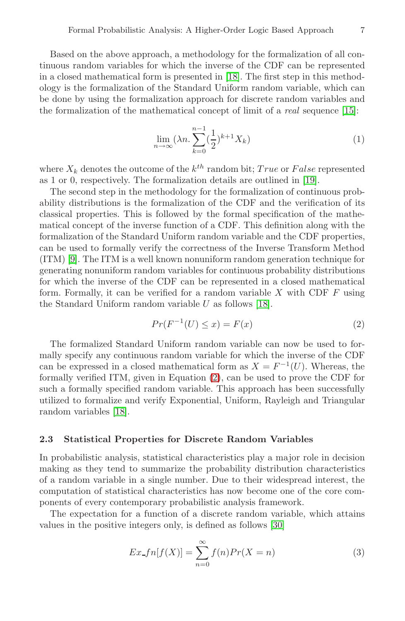Based on the above approach, a methodology for the formalization of all continuous random variables for which the inverse of the CDF can be represented in a closed mathematical form is presented in [18]. The first step in this methodology is the formalization of the Standard Uniform random variable, which can be done by using the formalization approach [for](#page-16-2) discrete random variables and the formalization of the mathematical concept of limit of a *real* sequence [15]:

<span id="page-5-0"></span>
$$
\lim_{n \to \infty} (\lambda n \cdot \sum_{k=0}^{n-1} \left(\frac{1}{2}\right)^{k+1} X_k)
$$
\n(1)

where  $X_k$  denotes the outcome of the  $k^{th}$  random bit; True or False represented as 1 or 0, respectively. The formalization details are outlined in [19].

The second step in the methodology for the formalization of continuous probability distributions is the formalization of the CDF and the verification of its classical properties. This is follo[wed](#page-16-1) by the formal specification of the mathematical concept of the inverse function of a CDF. This definition along with the formalization of the Standard Uniform random variable and the CDF properties, can be used to formally verify the correctness of the Inverse Transform Method (ITM) [9]. The ITM is a well known nonuniform random generation technique for generating nonuniform random variables for continuous probability distributions for which the inverse of the CDF can be represented in a closed mathematical form. Formally, it can [be](#page-5-0) verified for a random variable  $X$  with CDF  $F$  using the Standard Uniform random variable  $U$  as follows [18].

<span id="page-5-1"></span>
$$
Pr(F^{-1}(U) \le x) = F(x)
$$
\n<sup>(2)</sup>

<span id="page-5-2"></span>The formalized Standard Uniform random variable can now be used to formally specify any continuous random variable for which the inverse of the CDF can be expressed in a closed mathematical form as  $X = F^{-1}(U)$ . Whereas, the formally verified ITM, given in Equation (2), can be used to prove the CDF for such a formally specified random variable. This approach has been successfully utilized to formalize and verify Exponential, Uniform, Rayleigh and Triangular random variables [18].

#### **2.3 Statistical Properties for D[iscr](#page-17-5)ete Random Variables**

In probabilistic analysis, statistical characteristics play a major role in decision making as they tend to summarize the probability distribution characteristics of a random variable in a single number. Due to their widespread interest, the computation of statistical characteristics has now become one of the core components of every contemporary probabilistic analysis framework.

The expectation for a function of a discrete random variable, which attains values in the positive integers only, is defined as follows [30]

$$
Ex\_\n f n[f(X)] = \sum_{n=0}^{\infty} f(n)Pr(X=n) \tag{3}
$$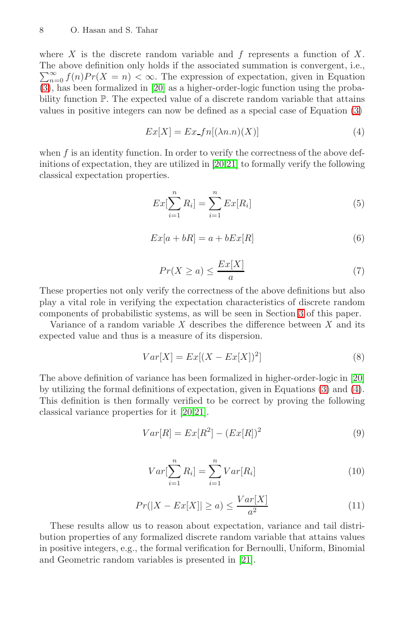where  $X$  is the discrete random variable and  $f$  represents a function of  $X$ . The above definition only holds if the associated summation is convergent, i.e.,  $\sum_{n=0}^{\infty} f(n)Pr(X = n) < \infty$  $\sum_{n=0}^{\infty} f(n)Pr(X = n) < \infty$  $\sum_{n=0}^{\infty} f(n)Pr(X = n) < \infty$ . The expression of expectation, given in Equation (3), has been formalized in [20] as a higher-order-logic function using the probability function  $\mathbb{P}$ . The expected value of a discrete random variable that attains values in positive integers can now be defined as a special case of Equation (3)

<span id="page-6-0"></span>
$$
Ex[X] = Ex\_fn[(\lambda n.n)(X)]\tag{4}
$$

when  $f$  is an identity function. In order to verify the correctness of the above definitions of expectation, they are utilized in [20,21] to formally verify the following classical expectation properties.

$$
Ex[\sum_{i=1}^{n} R_i] = \sum_{i=1}^{n} Ex[R_i]
$$
 (5)

$$
Ex[a + bR] = a + bEx[R]
$$
\n(6)

$$
Pr(X \ge a) \le \frac{Ex[X]}{a} \tag{7}
$$

These properties not only verify the correctness of the ab[ove](#page-16-4) definitions but also play a vital role in verifying the expectation cha[rac](#page-5-1)terist[ics](#page-6-0) of discrete random components of probabilistic systems, as will be seen in Section 3 of this paper.

Variance of [a ra](#page-16-4)[ndo](#page-17-3)m variable *X* describes the difference between *X* and its expected value and thus is a measure of its dispersion.

$$
Var[X] = Ex[(X - Ex[X])^{2}]
$$
\n(8)

The above definition of variance has been formalized in higher-order-logic in [20] by utilizing the formal definitions of expectation, given in Equations (3) and (4). This definition is then formally verified to be correct by proving the following classical variance properties for it [20,21].

$$
Var[R] = Ex[R2] - (Ex[R])2
$$
 (9)

$$
Var[\sum_{i=1}^{n} R_i] = \sum_{i=1}^{n} Var[R_i]
$$
\n(10)

$$
Pr(|X - Ex[X]| \ge a) \le \frac{Var[X]}{a^2} \tag{11}
$$

These results allow us to reason about expectation, variance and tail distribution properties of any formalized discrete random variable that attains values in positive integers, e.g., the formal verification for Bernoulli, Uniform, Binomial and Geometric random variables is presented in [21].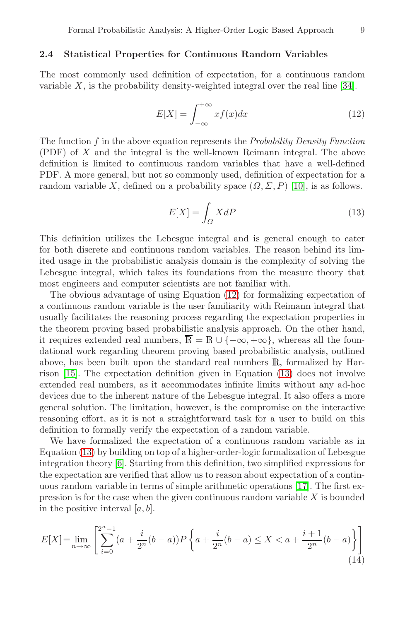#### **2.4 Statistical Properties for Continuous Random Variables**

The most commonly used definition of expectation, for a continuous random variable  $X$ , is the probability density-weighted integral over the real line [34].

<span id="page-7-0"></span>
$$
E[X] = \int_{-\infty}^{+\infty} x f(x) dx
$$
 (12)

The function f in the above equation represents the *Probability Density Function* (PDF) of X and the integral is the well-known Reimann integral. The above definition is limited to continuous random variables that have a well-defined PDF. A more general, but not so commonly used, definition of expectation for a random variable X, defined on a probability space  $(\Omega, \Sigma, P)$  [10], is as follows.

$$
E[X] = \int_{\Omega} XdP \tag{13}
$$

This definition utilizes the Lebesgue integral and is general enough to cater for both discrete and continuous random variables. The reason behind its limited usage in the probabilistic analysis domain is the complexity of solving the Lebesgue integral, which takes its foundations from the measure theory that most engineers and computer scientists [are](#page-7-0) not familiar with.

The obvious advantage of using Equation (12) for formalizing expectation of a continuous random variable is the user familiarity with Reimann integral that usually facilitates the reasoning process regarding the expectation properties in the theorem proving based probabilistic analysis approach. On the other hand, it requires extended real numbers,  $\overline{\mathbb{R}} = \mathbb{R} \cup \{-\infty, +\infty\}$ , whereas all the foundational work regarding theorem proving based probabilistic analysis, outlined above, has been built upon the standard real numbers  $\mathbb R$ , formalized by Har[ri](#page-16-7)son [15]. The expectation definition given in Equation (13) does not involve extended real numbers, as it accommodates infinite limits without any ad-hoc devices due to the inherent nature of the Le[bes](#page-16-3)gue integral. It also offers a more general solution. The limitation, however, is the compromise on the interactive reasoning effort, as it is not a straightforward task for a user to build on this definition to formally verify the expectation of a random variable.

We have formalized the expectation of a continuous random variable as in Equation (13) by building on top of a higher-order-logic formalization of Lebesgue integration theory [6]. Starting from this definition, two simplified expressions for the expectation are verified that allow us to reason about expectation of a continuous random variable in terms of simple arithmetic operations [17]. The first expression is for the case when the given continuous random variable  $X$  is bounded in the positive interval  $[a, b]$ .

$$
E[X] = \lim_{n \to \infty} \left[ \sum_{i=0}^{2^n - 1} (a + \frac{i}{2^n} (b - a)) P\left\{ a + \frac{i}{2^n} (b - a) \le X < a + \frac{i + 1}{2^n} (b - a) \right\} \right] \tag{14}
$$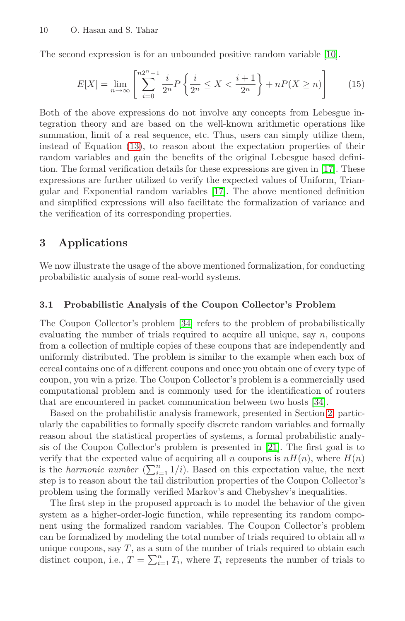T[he se](#page-7-0)cond expression is for an unbounded positive random variable [10].

$$
E[X] = \lim_{n \to \infty} \left[ \sum_{i=0}^{n2^n - 1} \frac{i}{2^n} P\left\{ \frac{i}{2^n} \le X < \frac{i+1}{2^n} \right\} + nP(X \ge n) \right] \tag{15}
$$

Both of the above exp[ress](#page-16-3)ions do not involve any concepts from Lebesgue integration theory and are based on the well-known arithmetic operations like summation, limit of a real sequence, etc. Thus, users can simply utilize them, instead of Equation (13), to reason about the expectation properties of their random variables and gain the benefits of the original Lebesgue based definition. The formal verification details for these expressions are given in [17]. These expressions are further utilized to verify the expected values of Uniform, Triangular and Exponential random variables [17]. The above mentioned definition and simplified expressions will also facilitate the formalization of variance and the verification of its corresponding properties.

## **3 Applica[tio](#page-17-6)ns**

We now illustrate the usage of the above mentioned formalization, for conducting probabilistic analysis of some real-world systems.

#### **3.1 Probabilistic Analysis of the Coupon Collector's Problem**

The Coupon Collector's problem [34] refers to [the](#page-17-6) [p](#page-2-1)roblem of probabilistically evaluating the number of trials required to acquire all unique, say  $n$ , coupons from a collection of multiple copies of these coupons that are independently and uniformly distributed. The problem [is s](#page-17-3)imilar to the example when each box of cereal contains one of n different coupons and once you obtain one of every type of coupon, you win a prize. The Coupon Collector's problem is a commercially used computational problem and is commonly used for the identification of routers that are encountered in packet communication between two hosts [34].

Based on the probabilistic analysis framework, presented in Section 2, particularly the capabilities to formally specify discrete random variables and formally reason about the statistical properties of systems, a formal probabilistic analysis of the Coupon Collector's problem is presented in [21]. The first goal is to verify that the expected value of acquiring all n coupons is  $nH(n)$ , where  $H(n)$ is the *harmonic number*  $(\sum_{i=1}^{n} 1/i)$ . Based on this expectation value, the next step is to reason about the tail distribution properties of the Coupon Collector's problem using the formally verified Markov's and Chebyshev's inequalities.

The first step in the proposed approach is to model the behavior of the given system as a higher-order-logic function, while representing its random component using the formalized random variables. The Coupon Collector's problem can be formalized by modeling the total number of trials required to obtain all  $n$ unique coupons, say  $T$ , as a sum of the number of trials required to obtain each distinct coupon, i.e.,  $T = \sum_{i=1}^{n} T_i$ , where  $T_i$  represents the number of trials to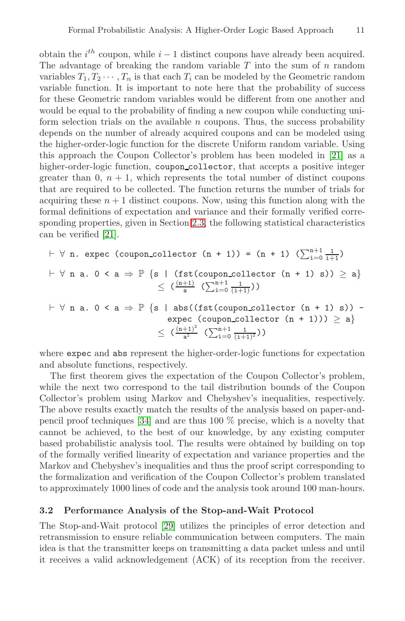obtain the  $i^{th}$  coupon, while  $i - 1$  distinct coupons have already been acquired. The advantage of breaking the random variable  $T$  [int](#page-17-3)o the sum of  $n$  random variables  $T_1, T_2 \cdots, T_n$  is that each  $T_i$  can be modeled by the Geometric random variable function. It is important to note here that the probability of success for these Geometric random variables would be different from one another and would be equal to the probability of finding a new coupon while conducting uniform selection trials on the available  $n$  coupons. Thus, the success probability depends on the n[umb](#page-5-2)er of already acquired coupons and can be modeled using the higher-order-logic function for the discrete Uniform random variable. Using this approach the Coupon Collector's problem has been modeled in [21] as a higher-order-logic function, coupon collector, that accepts a positive integer greater than 0,  $n + 1$ , which represents the total number of distinct coupons that are required to be collected. The function returns the number of trials for acquiring these  $n + 1$  distinct coupons. Now, using this function along with the formal definitions of expectation and variance and their formally verified corresponding properties, given in Section 2.3, the following statistical characteristics can be verified [21].

 $\vdash \forall$  n. expec (coupon\_collector (n + 1)) = (n + 1) ( $\sum_{i=0}^{n+1} \frac{1}{i+1}$ )  $\vdash \forall$  n a. 0 < a  $\Rightarrow \mathbb{P}$  {s | (fst(coupon\_collector (n + 1) s))  $\geq$  a}  $\leq$  ( $\frac{(n+1)}{a}$  ( $\sum_{i=0}^{n+1} \frac{1}{(i+1)}$ ))  $\vdash$  ∀ n a. 0 < a  $\Rightarrow$   $\mathbb{P}$  {s | abs((fst(coupon\_collector (n + 1) s)) expec (coupon\_collector  $(n + 1))$ )  $\geq$  a}  $\leq (\frac{(n+1)^2}{a^2} (\sum_{i=0}^{n+1} \frac{1}{(i+1)^2}))$ 

where expec and abs represent the higher-order-logic functions for expectation and absolute functions, respectively.

The first theorem gives the expectation of the Coupon Collector's problem, while the next two correspond to the tail distribution bounds of the Coupon Collector's problem using Markov and Chebyshev's inequalities, respectively. The above results exactly match the results of the analysis based on paper-andpencil proof techniques [34] and are thus 100 % precise, which is a novelty that cannot be achieved, to the best of our knowledge, by any existing computer based prob[abi](#page-17-7)listic analysis tool. The results were obtained by building on top of the formally verified linearity of expectation and variance properties and the Markov and Chebyshev's inequalities and thus the proof script corresponding to the formalization and verification of the Coupon Collector's problem translated to approximately 1000 lines of code and the analysis took around 100 man-hours.

#### **3.2 Performance Analysis of the Stop-and-Wait Protocol**

The Stop-and-Wait protocol [29] utilizes the principles of error detection and retransmission to ensure reliable communication between computers. The main idea is that the transmitter keeps on transmitting a data packet unless and until it receives a valid acknowledgement (ACK) of its reception from the receiver.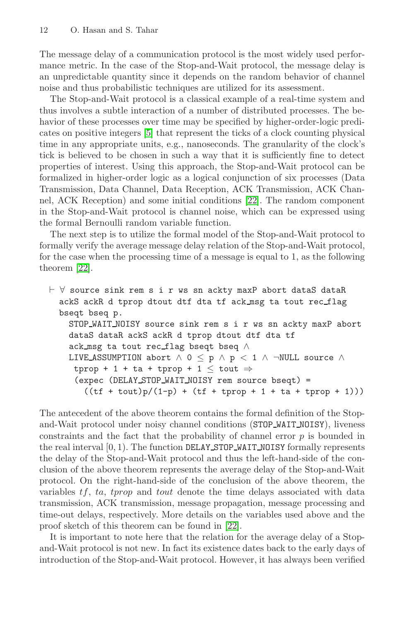The m[es](#page-16-8)sage delay of a communication protocol is the most widely used performance metric. In the case of the Stop-and-Wait protocol, the message delay is an unpredictable quantity since it depends on the random behavior of channel noise and thus probabilistic techniques are utilized for its assessment.

The Stop-and-Wait protocol is a classical example of a real-time system and thus involves a subtle interacti[on o](#page-17-8)f a number of distributed processes. The behavior of these processes over time may be specified by higher-order-logic predicates on positive integers [5] that represent the ticks of a clock counting physical time in any appropriate units, e.g., nanoseconds. The granularity of the clock's tick is believed to be chosen in such a way that it is sufficiently fine to detect properties of interest. Using this approach, the Stop-and-Wait protocol can be formalized in higher-order logic as a logical conjunction of six processes (Data Transmission, Data Channel, Data Reception, ACK Transmission, ACK Channel, ACK Reception) and some initial conditions [22]. The random component in the Stop-and-Wait protocol is channel noise, which can be expressed using the formal Bernoulli random variable function.

The next step is to utilize the formal model of the Stop-and-Wait protocol to formally verify the average message delay relation of the Stop-and-Wait protocol, for the case when the processing time of a message is equal to 1, as the following theorem [22].

```
 ∀ source sink rem s i r ws sn ackty maxP abort dataS dataR
ackS ackR d tprop dtout dtf dta tf ack msg ta tout rec flag
bseqt bseq p.
  STOP WAIT NOISY source sink rem s i r ws sn ackty maxP abort
  dataS dataR ackS ackR d tprop dtout dtf dta tf
  ack msg ta tout rec flag bseqt bseq ∧
  LIVE ASSUMPTION abort \land 0 \leq p \land p < 1 \land \negNULL source \landtprop + 1 + ta + tprop + 1 \leq tout \Rightarrow(expec (DELAY STOP WAIT NOISY rem source bseqt) =
     ((tf + tout)p/(1-p) + (tf + tprop + 1 + ta + tprop + 1)))
```
The antecedent of the above theorem contains the formal definition of the Stopand-Wait protocol under noisy channel conditions (STOP WAIT NOISY), liveness constraints and the fact t[hat](#page-17-8) the probability of channel error  $p$  is bounded in the real interval  $[0, 1)$ . The function DELAY STOP WAIT NOISY formally represents the delay of the Stop-and-Wait protocol and thus the left-hand-side of the conclusion of the above theorem represents the average delay of the Stop-and-Wait protocol. On the right-hand-side of the conclusion of the above theorem, the variables tf, ta, tprop and tout denote the time delays associated with data transmission, ACK transmission, message propagation, message processing and time-out delays, respectively. More details on the variables used above and the proof sketch of this theorem can be found in [22].

It is important to note here that the relation for the average delay of a Stopand-Wait protocol is not new. In fact its existence dates back to the early days of introduction of the Stop-and-Wait protocol. However, it has always been verified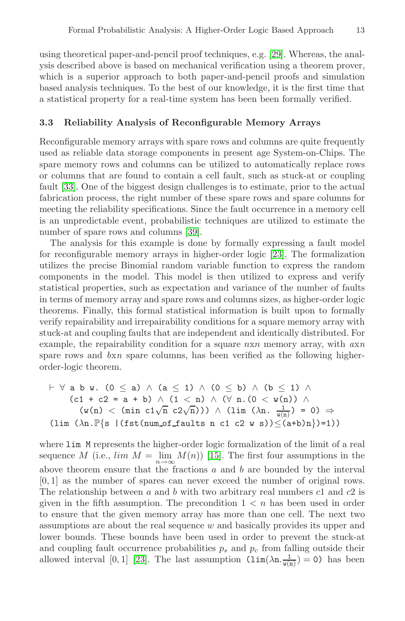using theoretical paper-and-pencil proof techniques, e.g. [29]. Whereas, the analysis described above is based on mechanical verification using a theorem prover, which is a superior approach to both paper-and-pencil proofs and simulation based analysis techniques. To the best of our knowledge, it is the first time that a statistical property for a real-time system has been been formally verified.

## **3.3 Reliability Analysis of Reconfigurable Memory Arrays**

Reconfigurable [mem](#page-17-9)ory arrays with spare rows and columns are quite frequently used as reliable data storage components in present age System-on-Chips. The spare memory rows and columns can [be](#page-17-10) utilized to automatically replace rows or columns that are found to contain a cell fault, such as stuck-at or coupling fault [33]. One of the biggest design challenges is to estimate, prior to the actual fabrication process, the right number of these spare rows and spare columns for meeting the reliability specifications. Since the fault occurrence in a memory cell is an unpredictable event, probabilistic techniques are utilized to estimate the number of spare rows and columns [39].

The analysis for this example is done by formally expressing a fault model for reconfigurable memory arrays in higher-order logic [23]. The formalization utilizes the precise Binomial random variable function to express the random components in the model. This model is then utilized to express and verify statistical properties, such as expectation and variance of the number of faults in terms of memory array and spare rows and columns sizes, as higher-order logic theorems. Finally, this formal statistical information is built upon to formally verify repairability and irrepairability conditions for a square memory array with stuck-at and coupling faults that are independent and identically distributed. For example, the repairability condition for a square nxn memory array, with *a*x*n* spare rows and  $bxn$  spare columns, has been verified as the following higherorder-logic theorem.

$$
\vdash \forall \text{ a b w. } (0 \leq a) \land (a \leq 1) \land (0 \leq b) \land (b \leq 1) \land (c1 + c2 = a + b) \land (1 < n) \land (\forall n.(0 < w(n)) \land (w(n) < (\text{min } c1\sqrt{n} c2\sqrt{n}))) \land (\lim (\lambda n. \frac{1}{w(n)}) = 0) \Rightarrow (\lim (\lambda n. \mathbb{P}\{s \mid (fst(\text{num of } faults n c1 c2 w s)) \leq (a+b)n\})=1))
$$

where  $\lim M$  represents the higher-order logic formalization of the limit of a real sequence M (i.e.,  $\lim M = \lim M(n)$ ) [15]. The first four assumptions in the abo[ve t](#page-17-10)heorem ensure that the fractions a and b are bounded by the interval [0, 1] as the number of spares can never exceed the number of original rows. The relationship between a and b with two arbitrary real numbers  $c1$  and  $c2$  is given in the fifth assumption. The precondition  $1 < n$  has been used in order to ensure that the given memory array has more than one cell. The next two assumptions are about the real sequence w and basically provides its upper and lower bounds. These bounds have been used in order to prevent the stuck-at and coupling fault occurrence probabilities  $p_s$  and  $p_c$  from falling outside their allowed interval [0, 1] [23]. The last assumption  $(\lim_{\alpha \to \infty} (\lambda n. \frac{1}{\psi(n)}) = 0)$  has been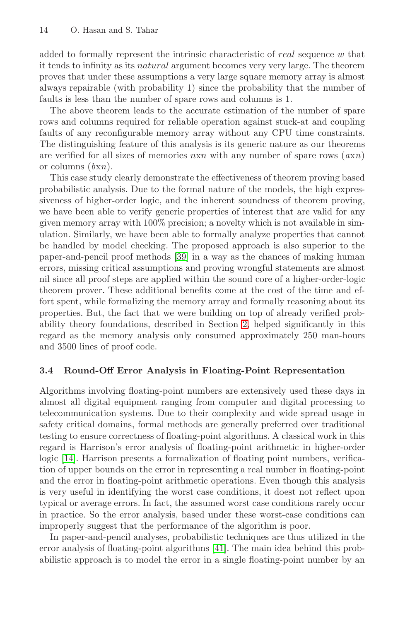added to formally represent the intrinsic characteristic of real sequence w that it tends to infinity as its natural argument becomes very very large. The theorem proves that under these assumptions a very large square memory array is almost always repairable (with probability 1) since the probability that the number of faults is less than the number of spare rows and columns is 1.

The above theorem leads to the accurate estimation of the number of spare rows and columns required for reliable operation against stuck-at and coupling faults of any reconfigurable memory array without any CPU time constraints. The distinguishing feature of this analysis is its generic nature as our theorems are verified for all sizes of memories nxn with any number of spare rows (*a*x*n*) or columns (*b*x*[n](#page-17-9)*).

This case study clearly demonstrate the effectiveness of theorem proving based probabilistic analysis. Due to the formal nature of the models, the high expressiveness of higher-order logic, and the inherent soundness of theorem proving, we have been able to verify generic properties of interest that are valid for any given memory array with 100% precision; a novelty which is not available in simulation. Similarly, we have bee[n](#page-2-1) able to formally analyze properties that cannot be handled by model checking. The proposed approach is also superior to the paper-and-pencil proof methods [39] in a way as the chances of making human errors, missing critical assumptions and proving wrongful statements are almost nil since all proof steps are applied within the sound core of a higher-order-logic theorem prover. These additional benefits come at the cost of the time and effort spent, while formalizing the memory array and formally reasoning about its properties. But, the fact that we were building on top of already verified probability theory foundations, described in Section 2, helped significantly in this regard as the memory analysis only consumed approximately 250 man-hours and 3500 lines of proof code.

## **3.4 Round-Off Error Analysis in Floating-Point Representation**

Algorithms involving floating-point numbers are extensively used these days in almost all digital equipment ranging from computer and digital processing to telecommunication systems. Due to their complexity and wide spread usage in safety critical domains, formal methods are generally preferred over traditional testing to ensure correctness of floating-point algorithms. A classical work in this regard is Harrison's error analysis of floating-point arithmetic in higher-order logic [14]. Harrison pre[sent](#page-17-11)s a formalization of floating point numbers, verification of upper bounds on the error in representing a real number in floating-point and the error in floating-point arithmetic operations. Even though this analysis is very useful in identifying the worst case conditions, it doest not reflect upon typical or average errors. In fact, the assumed worst case conditions rarely occur in practice. So the error analysis, based under these worst-case conditions can improperly suggest that the performance of the algorithm is poor.

In paper-and-pencil analyses, probabilistic techniques are thus utilized in the error analysis of floating-point algorithms [41]. The main idea behind this probabilistic approach is to model the error in a single floating-point number by an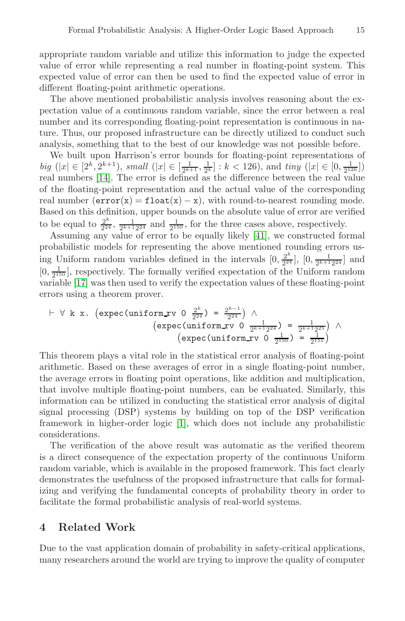appropriate random variable and utilize this information to judge the expected value of error while representing a real number in floating-point system. This expected value of error can then be used to find the expected value of error in different floating-point arithmetic operations.

The above mentioned probabilistic analysis involves reasoning about the expectation value of a continuous random variable, since the error between a real number and its corresponding floating-point representation is continuous in nature. Thus, our proposed infrastructure can be directly utilized to conduct such analysis, something that to the b[est](#page-17-11) of our knowledge was not possible before.

We built upon Harrison's error bounds for floating-point representations of *big*  $(|x| \in [2^k, 2^{k+1})$ , *small*  $(|x| \in [\frac{1}{2^{k+1}}, \frac{1}{2^k}] : k < 126)$ , and *tiny*  $(|x| \in [0, \frac{1}{2^{126}}])$ real numbers [14]. The error is defined as the difference between the real value of the floating-point representation and the actual value of the corresponding real number  $(\text{error}(x) = \text{float}(x) - x)$ , with round-to-nearest rounding mode. Based on this definition, upper bounds on the absolute value of error are verified to be equal to  $\frac{2^k}{2^{24}}$ ,  $\frac{1}{2^{k+1}2^{24}}$  and  $\frac{1}{2^{150}}$ , for the three cases above, respectively.

Assuming any value of error to be equally likely [41], we constructed formal probabilistic models for representing the above mentioned rounding errors using Uniform random variables defined in the intervals  $[0, \frac{2^k}{2^{24}}]$ ,  $[0, \frac{1}{2^{k+1}2^{24}}]$  and  $[0, \frac{1}{2^{150}}]$ , respectively. The formally verified expectation of the Uniform random variable [17] was then used to verify the expectation values of these floating-point errors using a theorem prover.

$$
\vdash \forall k \ x. \ \left(\text{expect}(\text{uniform\_rv 0} \frac{2^k}{2^{24}}) = \frac{2^{k-1}}{2^{24}}\right) \land \n\left(\text{expect}(\text{uniform\_rv 0} \frac{1}{2^{k+1}2^{24}}) = \frac{1}{2^{k+1}2^{25}}\right) \land \n\left(\text{expect}(\text{uniform\_rv 0} \frac{1}{2^{150}}) = \frac{1}{2^{151}}\right)
$$

This theorem plays a vital role in the statistical error analysis of floating-point arithmetic. Based on these averages of error in a single floating-point number, the average errors in floating point operations, like addition and multiplication, that involve multiple floating-point numbers, can be evaluated. Similarly, this information can be utilized in conducting the statistical error analysis of digital signal processing (DSP) systems by building on top of the DSP verification framework in higher-order logic [1], which does not include any probabilistic considerations.

The verification of the above result was automatic as the verified theorem is a direct consequence of the expectation property of the continuous Uniform random variable, which is available in the proposed framework. This fact clearly demonstrates the usefulness of the proposed infrastructure that calls for formalizing and verifying the fundamental concepts of probability theory in order to facilitate the formal probabilistic analysis of real-world systems.

## **4 Related Work**

Due to the vast application domain of probability in safety-critical applications, many researchers around the world are trying to improve the quality of computer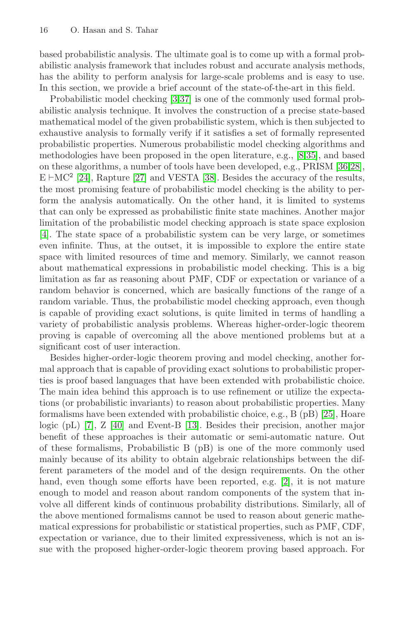based probabilistic analysis. The ultimate goal is to come up with a formal probabilistic analysis framework that includes ro[bu](#page-16-9)[st a](#page-17-12)nd accurate analysis methods, has the ability to perform analysis for large-scale pr[oble](#page-17-13)[ms](#page-17-14) and is easy to use. In t[his](#page-17-15) section, we pr[ovi](#page-17-16)de a brief account of the state-of-the-art in this field.

Probabilistic model checking [3,37] is one of the commonly used formal probabilistic analysis technique. It involves the construction of a precise state-based mathematical model of the given probabilistic system, which is then subjected to exhaustive analysis to formally verify if it satisfies a set of formally represented probabilistic properties. Numerous probabilistic model checking algorithms and methodologies have been proposed in the open literature, e.g., [8,35], and based on these algorithms, a number of tools have been developed, e.g., PRISM [36,28],  $E \text{ }\bigcap C^2$  [24], Rapture [27] and VESTA [38]. Besides the accuracy of the results, the most promising feature of probabilistic model checking is the ability to perform the analysis automatically. On the other hand, it is limited to systems that can only be expressed as probabilistic finite state machines. Another major limitation of the probabilistic model checking approach is state space explosion [4]. The state space of a probabilistic system can be very large, or sometimes even infinite. Thus, at the outset, it is impossible to explore the entire state space with limited resources of time and memory. Similarly, we cannot reason about mathematical expressions in probabilistic model checking. This is a big limitation as far as reasoning about PMF, CDF or expectation or variance of a random behavior is concerned, which are basically functions of the range of a random variable. Thus, the probabilistic model checking approach, even though is capable of providing exact solutions, is quite limited in terms of handling a variety of probabilistic analysis problems. Where[as h](#page-17-17)igher-order-logic theorem [pr](#page-17-18)oving is capa[ble o](#page-16-10)f overcoming all the above mentioned problems but at a significant cost of user interaction.

Besides higher-order-logic theorem proving and model checking, another formal approach that is capable of providing exact solutions to probabilistic properties is proof based languages that have been extended with probabilistic choice. The main idea behind this approach is [to](#page-16-11) use refinement or utilize the expectations (or probabilistic invariants) to reason about probabilistic properties. Many formalisms have been extended with probabilistic choice, e.g., B (pB) [25], Hoare logic (pL) [7], Z [40] and Event-B [13]. Besides their precision, another major benefit of these approaches is their automatic or semi-automatic nature. Out of these formalisms, Probabilistic B (pB) is one of the more commonly used mainly because of its ability to obtain algebraic relationships between the different parameters of the model and of the design requirements. On the other hand, even though some efforts have been reported, e.g. [2], it is not mature enough to model and reason about random components of the system that involve all different kinds of continuous probability distributions. Similarly, all of the above mentioned formalisms cannot be used to reason about generic mathematical expressions for probabilistic or statistical properties, such as PMF, CDF, expectation or variance, due to their limited expressiveness, which is not an issue with the proposed higher-order-logic theorem proving based approach. For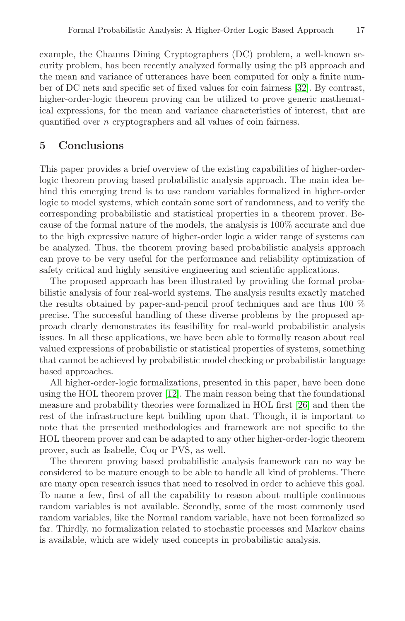<span id="page-15-0"></span>example, the Chaums Dining Cryptographers (DC) problem, a well-known security problem, has been recently analyzed formally using the pB approach and the mean and variance of utterances have been computed for only a finite number of DC nets and specific set of fixed values for coin fairness [32]. By contrast, higher-order-logic theorem proving can be utilized to prove generic mathematical expressions, for the mean and variance characteristics of interest, that are quantified over *n* cryptographers and all values of coin fairness.

## **5 Conclusions**

This paper provides a brief overview of the existing capabilities of higher-orderlogic theorem proving based probabilistic analysis approach. The main idea behind this emerging trend is to use random variables formalized in higher-order logic to model systems, which contain some sort of randomness, and to verify the corresponding probabilistic and statistical properties in a theorem prover. Because of the formal nature of the models, the analysis is 100% accurate and due to the high expressive nature of higher-order logic a wider range of systems can be analyzed. Thus, the theorem proving based probabilistic analysis approach can prove to be very useful for the performance and reliability optimization of safety critical and highly sensitive engineering and scientific applications.

The proposed approach has been illustrated by providing the formal probabilistic analysis of four real-world systems. The analysis results exactly matched the results [obta](#page-16-12)ined by paper-and-pencil proof techniques and are thus 100 % precise. The successful handling of these di[vers](#page-17-2)e problems by the proposed approach clearly demonstrates its feasibility for real-world probabilistic analysis issues. In all these applications, we have been able to formally reason about real valued expressions of probabilistic or statistical properties of systems, something that cannot be achieved by probabilistic model checking or probabilistic language based approaches.

All higher-order-logic formalizations, presented in this paper, have been done using the HOL theorem prover [12]. The main reason being that the foundational measure and probability theories were formalized in HOL first [26] and then the rest of the infrastructure kept building upon that. Though, it is important to note that the presented methodologies and framework are not specific to the HOL theorem prover and can be adapted to any other higher-order-logic theorem prover, such as Isabelle, Coq or PVS, as well.

The theorem proving based probabilistic analysis framework can no way be considered to be mature enough to be able to handle all kind of problems. There are many open research issues that need to resolved in order to achieve this goal. To name a few, first of all the capability to reason about multiple continuous random variables is not available. Secondly, some of the most commonly used random variables, like the Normal random variable, have not been formalized so far. Thirdly, no formalization related to stochastic processes and Markov chains is available, which are widely used concepts in probabilistic analysis.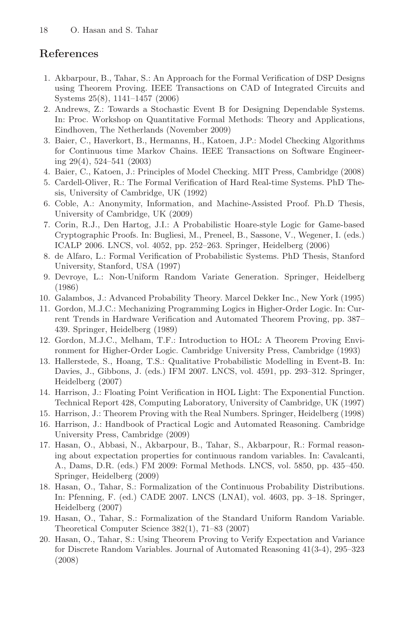## **References**

- 1. Akbarpour, B., Tahar, S.: An Approach for the Formal Verification of DSP Designs using Theorem Proving. IEEE Transactions on CAD of Integrated Circuits and Systems 25(8), 1141–1457 (2006)
- <span id="page-16-11"></span>2. Andrews, Z.: Towards a Stochastic Event B for Designing Dependable Systems. In: Proc. Workshop on Quantitative Formal Methods: Theory and Applications, Eindhoven, The Netherlands (November 2009)
- 3. Baier, C., Haverkort, B., Hermanns, H., Katoen, J.P.: Model Checking Algorithms for Continuous time Markov Chains. IEEE Transactions on Software Engineering 29(4), 524–541 (2003)
- <span id="page-16-8"></span>4. Baier, C., Katoen, J.: Principles of Model Checking. MIT Press, Cambridge (2008)
- 5. Cardell-Oliver, R.: The Formal Verification of Hard Real-time Systems. PhD Thesis, University of Cambridge, UK (1992)
- <span id="page-16-7"></span>6. Coble, A.: Anonymity, Information, and Machine-Assisted Proof. Ph.D Thesis, University of Cambridge, UK (2009)
- 7. Corin, R.J., Den Hartog, J.I.: A Probabilistic Hoare-style Logic for Game-based Cryptographic Proofs. In: Bugliesi, M., Preneel, B., Sassone, V., Wegener, I. (eds.) ICALP 2006. LNCS, vol. 4052, pp. 252–263. Springer, Heidelberg (2006)
- <span id="page-16-9"></span>8. de Alfaro, L.: Formal Verification of Probabilistic Systems. PhD Thesis, Stanford University, Stanford, USA (1997)
- <span id="page-16-5"></span>9. Devroye, L.: Non-Uniform Random Variate Generation. Springer, Heidelberg (1986)
- 10. Galambos, J.: Advanced Probability Theory. Marcel Dekker Inc., New York (1995)
- 11. Gordon, M.J.C.: Mechanizing Programming Logics in Higher-Order Logic. In: Current Trends in Hardware Verification and Automated Theorem Proving, pp. 387– 439. Springer, Heidelberg (1989)
- <span id="page-16-12"></span>12. Gordon, M.J.C., Melham, T.F.: Introduction to HOL: A Theorem Proving Environment for Higher-Order Logic. Cambridge University Press, Cambridge (1993)
- <span id="page-16-10"></span>13. Hallerstede, S., Hoang, T.S.: Qualitative Probabilistic Modelling in Event-B. In: Davies, J., Gibbons, J. (eds.) IFM 2007. LNCS, vol. 4591, pp. 293–312. Springer, Heidelberg (2007)
- 14. Harrison, J.: Floating Point Verification in HOL Light: The Exponential Function. Technical Report 428, Computing Laboratory, University of Cambridge, UK (1997)
- <span id="page-16-6"></span><span id="page-16-0"></span>15. Harrison, J.: Theorem Proving with the Real Numbers. Springer, Heidelberg (1998)
- 16. Harrison, J.: Handbook of Practical Logic and Automated Reasoning. Cambridge University Press, Cambridge (2009)
- <span id="page-16-3"></span>17. Hasan, O., Abbasi, N., Akbarpour, B., Tahar, S., Akbarpour, R.: Formal reasoning about expectation properties for continuous random variables. In: Cavalcanti, A., Dams, D.R. (eds.) FM 2009: Formal Methods. LNCS, vol. 5850, pp. 435–450. Springer, Heidelberg (2009)
- <span id="page-16-1"></span>18. Hasan, O., Tahar, S.: Formalization of the Continuous Probability Distributions. In: Pfenning, F. (ed.) CADE 2007. LNCS (LNAI), vol. 4603, pp. 3–18. Springer, Heidelberg (2007)
- <span id="page-16-2"></span>19. Hasan, O., Tahar, S.: Formalization of the Standard Uniform Random Variable. Theoretical Computer Science 382(1), 71–83 (2007)
- <span id="page-16-4"></span>20. Hasan, O., Tahar, S.: Using Theorem Proving to Verify Expectation and Variance for Discrete Random Variables. Journal of Automated Reasoning 41(3-4), 295–323 (2008)